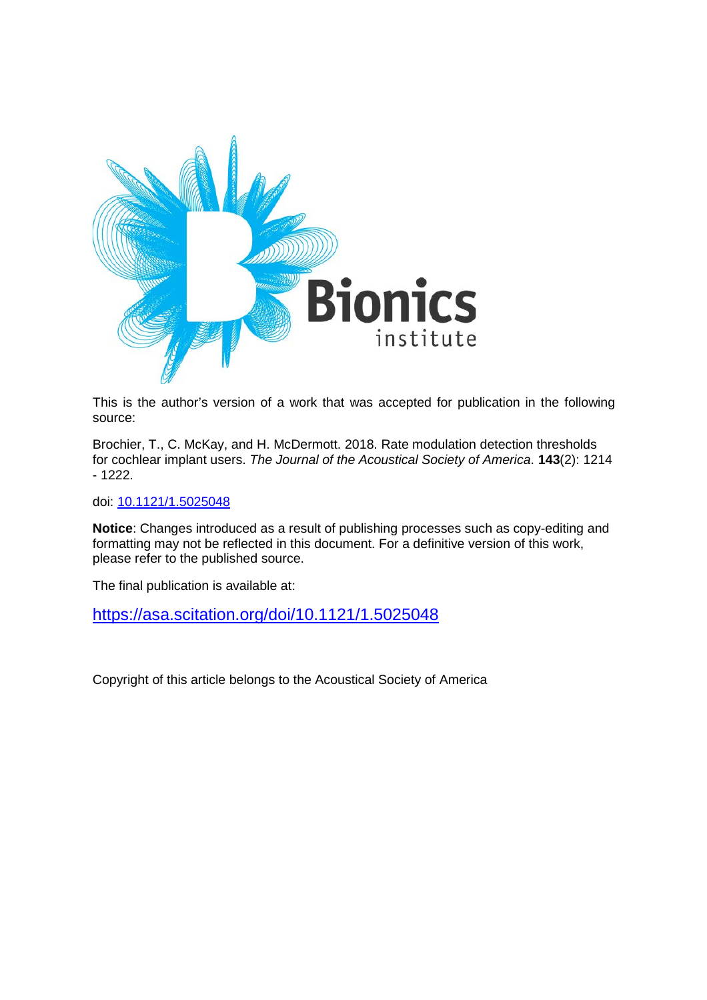

This is the author's version of a work that was accepted for publication in the following source:

Brochier, T., C. McKay, and H. McDermott. 2018. Rate modulation detection thresholds for cochlear implant users. *The Journal of the Acoustical Society of America*. **143**(2): 1214 - 1222.

doi: [10.1121/1.5025048](https://doi.org/10.1121/1.5025048)

**Notice**: Changes introduced as a result of publishing processes such as copy-editing and formatting may not be reflected in this document. For a definitive version of this work, please refer to the published source.

The final publication is available at:

<https://asa.scitation.org/doi/10.1121/1.5025048>

Copyright of this article belongs to the Acoustical Society of America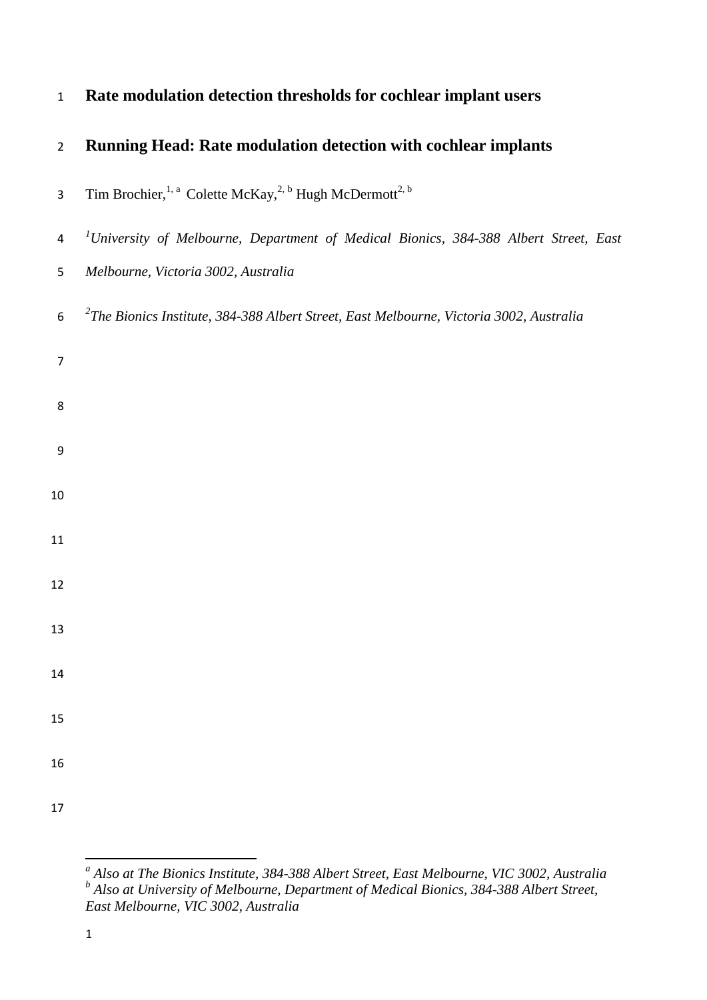| $\mathbf{1}$     | Rate modulation detection thresholds for cochlear implant users                                  |
|------------------|--------------------------------------------------------------------------------------------------|
| $\overline{2}$   | Running Head: Rate modulation detection with cochlear implants                                   |
| 3                | Tim Brochier, <sup>1, a</sup> Colette McKay, <sup>2, b</sup> Hugh McDermott <sup>2, b</sup>      |
| $\overline{a}$   | <sup>1</sup> University of Melbourne, Department of Medical Bionics, 384-388 Albert Street, East |
| 5                | Melbourne, Victoria 3002, Australia                                                              |
| 6                | $2$ The Bionics Institute, 384-388 Albert Street, East Melbourne, Victoria 3002, Australia       |
| $\overline{7}$   |                                                                                                  |
| 8                |                                                                                                  |
| $\boldsymbol{9}$ |                                                                                                  |
| 10               |                                                                                                  |
| 11               |                                                                                                  |
| 12               |                                                                                                  |
| 13               |                                                                                                  |
| 14               |                                                                                                  |
| 15               |                                                                                                  |
| 16               |                                                                                                  |
| 17               |                                                                                                  |
|                  |                                                                                                  |

<span id="page-1-1"></span><span id="page-1-0"></span>*<sup>a</sup> Also at The Bionics Institute, 384-388 Albert Street, East Melbourne, VIC 3002, Australia <sup>b</sup> Also at University of Melbourne, Department of Medical Bionics, 384-388 Albert Street, East Melbourne, VIC 3002, Australia*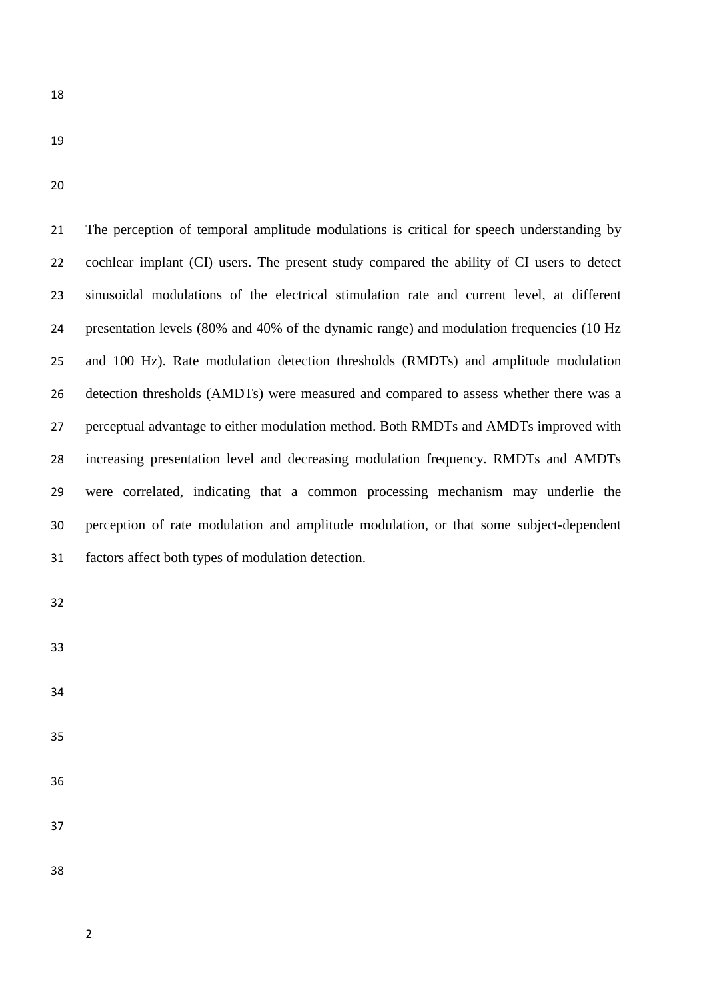- 
- 

 The perception of temporal amplitude modulations is critical for speech understanding by cochlear implant (CI) users. The present study compared the ability of CI users to detect sinusoidal modulations of the electrical stimulation rate and current level, at different presentation levels (80% and 40% of the dynamic range) and modulation frequencies (10 Hz and 100 Hz). Rate modulation detection thresholds (RMDTs) and amplitude modulation detection thresholds (AMDTs) were measured and compared to assess whether there was a perceptual advantage to either modulation method. Both RMDTs and AMDTs improved with increasing presentation level and decreasing modulation frequency. RMDTs and AMDTs were correlated, indicating that a common processing mechanism may underlie the perception of rate modulation and amplitude modulation, or that some subject-dependent factors affect both types of modulation detection.

- 
- 
- 
- 
- 
- 
- 
-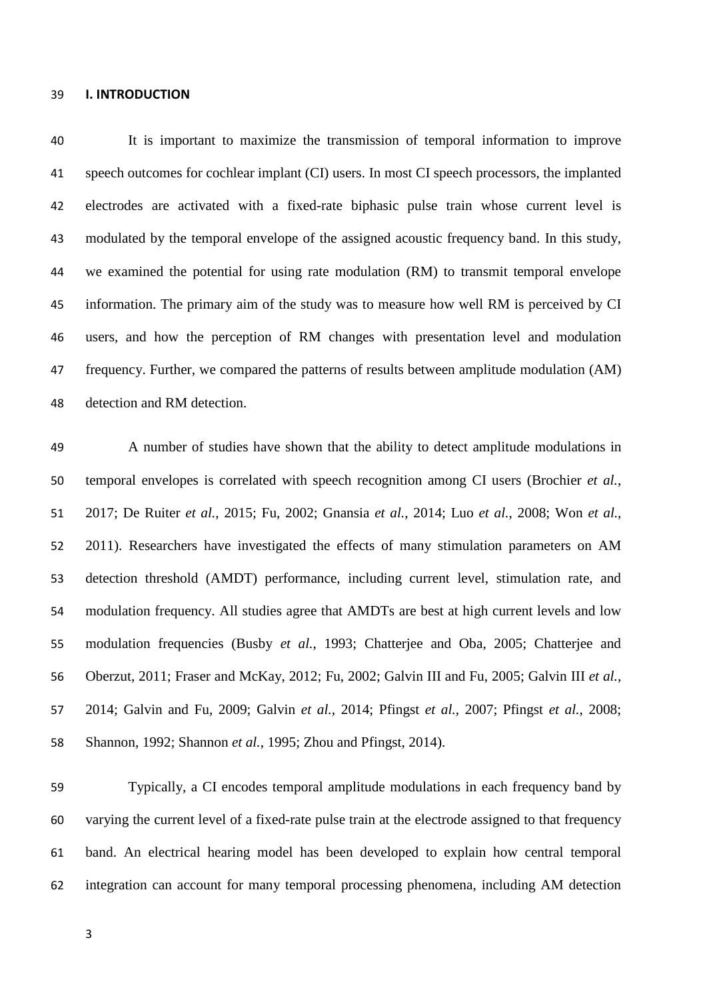## **I. INTRODUCTION**

 It is important to maximize the transmission of temporal information to improve speech outcomes for cochlear implant (CI) users. In most CI speech processors, the implanted electrodes are activated with a fixed-rate biphasic pulse train whose current level is modulated by the temporal envelope of the assigned acoustic frequency band. In this study, we examined the potential for using rate modulation (RM) to transmit temporal envelope information. The primary aim of the study was to measure how well RM is perceived by CI users, and how the perception of RM changes with presentation level and modulation frequency. Further, we compared the patterns of results between amplitude modulation (AM) detection and RM detection.

 A number of studies have shown that the ability to detect amplitude modulations in temporal envelopes is correlated with speech recognition among CI users [\(Brochier](#page-23-0) *et al.*, [2017;](#page-23-0) [De Ruiter](#page-23-1) *et al.*, 2015; [Fu, 2002;](#page-24-0) [Gnansia](#page-24-1) *et al.*, 2014; Luo *et al.*[, 2008;](#page-25-0) [Won](#page-27-0) *et al.*, [2011\)](#page-27-0). Researchers have investigated the effects of many stimulation parameters on AM detection threshold (AMDT) performance, including current level, stimulation rate, and modulation frequency. All studies agree that AMDTs are best at high current levels and low modulation frequencies (Busby *et al.*[, 1993;](#page-23-2) [Chatterjee and Oba, 2005;](#page-23-3) [Chatterjee and](#page-23-4)  [Oberzut, 2011;](#page-23-4) [Fraser and McKay, 2012;](#page-24-2) [Fu, 2002;](#page-24-0) [Galvin III and Fu, 2005;](#page-24-3) [Galvin III](#page-24-4) *et al.*, [2014;](#page-24-4) [Galvin and Fu, 2009;](#page-24-5) [Galvin](#page-24-6) *et al.*, 2014; [Pfingst](#page-26-0) *et al.*, 2007; [Pfingst](#page-26-1) *et al.*, 2008; [Shannon, 1992;](#page-27-1) [Shannon](#page-27-2) *et al.*, 1995; [Zhou and Pfingst, 2014\)](#page-27-3).

 Typically, a CI encodes temporal amplitude modulations in each frequency band by varying the current level of a fixed-rate pulse train at the electrode assigned to that frequency band. An electrical hearing model has been developed to explain how central temporal integration can account for many temporal processing phenomena, including AM detection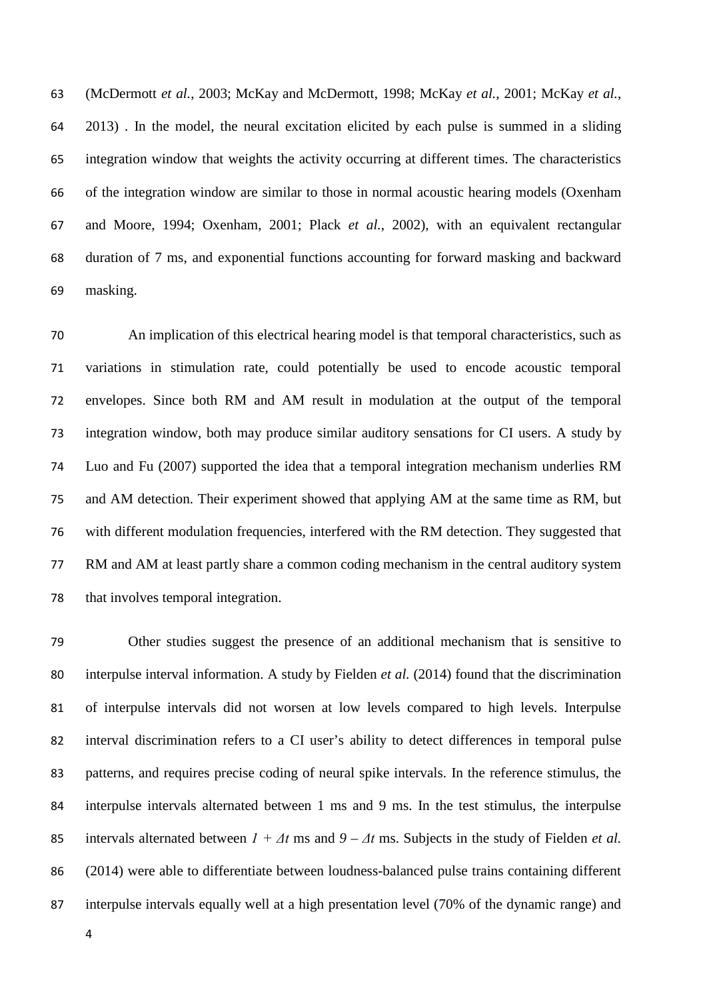[\(McDermott](#page-25-1) *et al.*, 2003; [McKay and McDermott, 1998;](#page-25-2) [McKay](#page-25-3) *et al.*, 2001; [McKay](#page-26-2) *et al.*, [2013\)](#page-26-2) . In the model, the neural excitation elicited by each pulse is summed in a sliding integration window that weights the activity occurring at different times. The characteristics of the integration window are similar to those in normal acoustic hearing models [\(Oxenham](#page-26-3)  [and Moore, 1994;](#page-26-3) [Oxenham, 2001;](#page-26-4) Plack *et al.*[, 2002\)](#page-26-5), with an equivalent rectangular duration of 7 ms, and exponential functions accounting for forward masking and backward masking.

 An implication of this electrical hearing model is that temporal characteristics, such as variations in stimulation rate, could potentially be used to encode acoustic temporal envelopes. Since both RM and AM result in modulation at the output of the temporal integration window, both may produce similar auditory sensations for CI users. A study by [Luo and Fu \(2007\)](#page-25-4) supported the idea that a temporal integration mechanism underlies RM and AM detection. Their experiment showed that applying AM at the same time as RM, but with different modulation frequencies, interfered with the RM detection. They suggested that RM and AM at least partly share a common coding mechanism in the central auditory system that involves temporal integration.

 Other studies suggest the presence of an additional mechanism that is sensitive to interpulse interval information. A study by [Fielden](#page-24-7) *et al.* (2014) found that the discrimination of interpulse intervals did not worsen at low levels compared to high levels. Interpulse interval discrimination refers to a CI user's ability to detect differences in temporal pulse patterns, and requires precise coding of neural spike intervals. In the reference stimulus, the interpulse intervals alternated between 1 ms and 9 ms. In the test stimulus, the interpulse intervals alternated between *1 + Δt* ms and *9 – Δt* ms. Subjects in the study of [Fielden](#page-24-7) *et al.* (2014) were able to differentiate between loudness-balanced pulse trains containing different interpulse intervals equally well at a high presentation level (70% of the dynamic range) and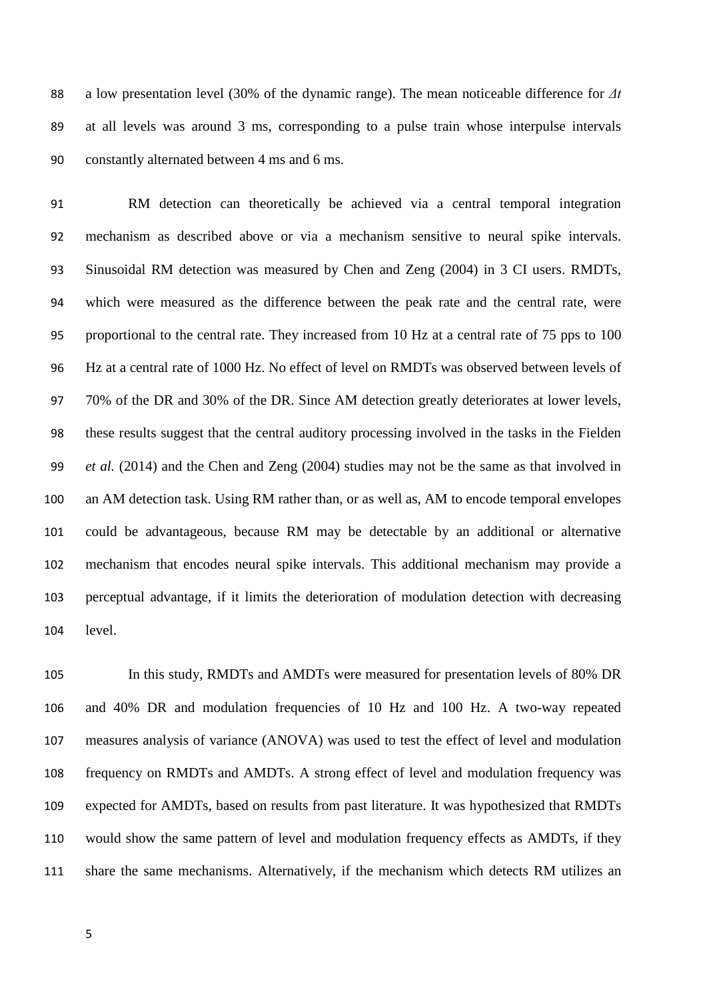a low presentation level (30% of the dynamic range). The mean noticeable difference for *Δt* at all levels was around 3 ms, corresponding to a pulse train whose interpulse intervals constantly alternated between 4 ms and 6 ms.

 RM detection can theoretically be achieved via a central temporal integration mechanism as described above or via a mechanism sensitive to neural spike intervals. Sinusoidal RM detection was measured by [Chen and Zeng \(2004\)](#page-23-5) in 3 CI users. RMDTs, which were measured as the difference between the peak rate and the central rate, were proportional to the central rate. They increased from 10 Hz at a central rate of 75 pps to 100 Hz at a central rate of 1000 Hz. No effect of level on RMDTs was observed between levels of 70% of the DR and 30% of the DR. Since AM detection greatly deteriorates at lower levels, these results suggest that the central auditory processing involved in the tasks in the [Fielden](#page-24-7) *et al.* (2014) and the [Chen and Zeng \(2004\)](#page-23-5) studies may not be the same as that involved in an AM detection task. Using RM rather than, or as well as, AM to encode temporal envelopes could be advantageous, because RM may be detectable by an additional or alternative mechanism that encodes neural spike intervals. This additional mechanism may provide a perceptual advantage, if it limits the deterioration of modulation detection with decreasing level.

 In this study, RMDTs and AMDTs were measured for presentation levels of 80% DR and 40% DR and modulation frequencies of 10 Hz and 100 Hz. A two-way repeated measures analysis of variance (ANOVA) was used to test the effect of level and modulation frequency on RMDTs and AMDTs. A strong effect of level and modulation frequency was expected for AMDTs, based on results from past literature. It was hypothesized that RMDTs would show the same pattern of level and modulation frequency effects as AMDTs, if they share the same mechanisms. Alternatively, if the mechanism which detects RM utilizes an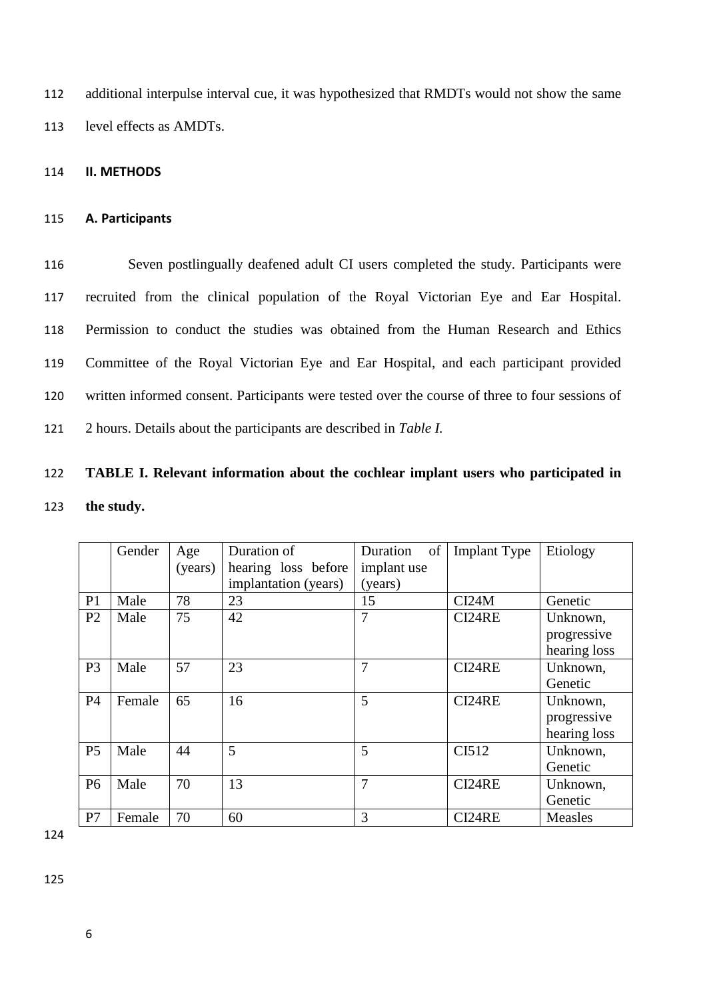112 additional interpulse interval cue, it was hypothesized that RMDTs would not show the same 113 level effects as AMDTs.

## 114 **II. METHODS**

## 115 **A. Participants**

 Seven postlingually deafened adult CI users completed the study. Participants were recruited from the clinical population of the Royal Victorian Eye and Ear Hospital. Permission to conduct the studies was obtained from the Human Research and Ethics Committee of the Royal Victorian Eye and Ear Hospital, and each participant provided written informed consent. Participants were tested over the course of three to four sessions of 2 hours. Details about the participants are described in *Table I.*

# 122 **TABLE I. Relevant information about the cochlear implant users who participated in**  123 **the study.**

|                | Gender | Age     | Duration of          | Duration<br>of | <b>Implant Type</b> | Etiology     |
|----------------|--------|---------|----------------------|----------------|---------------------|--------------|
|                |        | (years) | hearing loss before  | implant use    |                     |              |
|                |        |         | implantation (years) | (years)        |                     |              |
| P <sub>1</sub> | Male   | 78      | 23                   | 15             | CI24M               | Genetic      |
| P <sub>2</sub> | Male   | 75      | 42                   | $\overline{7}$ | CI24RE              | Unknown,     |
|                |        |         |                      |                |                     | progressive  |
|                |        |         |                      |                |                     | hearing loss |
| P <sub>3</sub> | Male   | 57      | 23                   | 7              | CI24RE              | Unknown,     |
|                |        |         |                      |                |                     | Genetic      |
| <b>P4</b>      | Female | 65      | 16                   | 5              | CI24RE              | Unknown,     |
|                |        |         |                      |                |                     | progressive  |
|                |        |         |                      |                |                     | hearing loss |
| P <sub>5</sub> | Male   | 44      | 5                    | 5              | CI512               | Unknown,     |
|                |        |         |                      |                |                     | Genetic      |
| <b>P6</b>      | Male   | 70      | 13                   | 7              | CI24RE              | Unknown,     |
|                |        |         |                      |                |                     | Genetic      |
| P7             | Female | 70      | 60                   | 3              | CI24RE              | Measles      |

124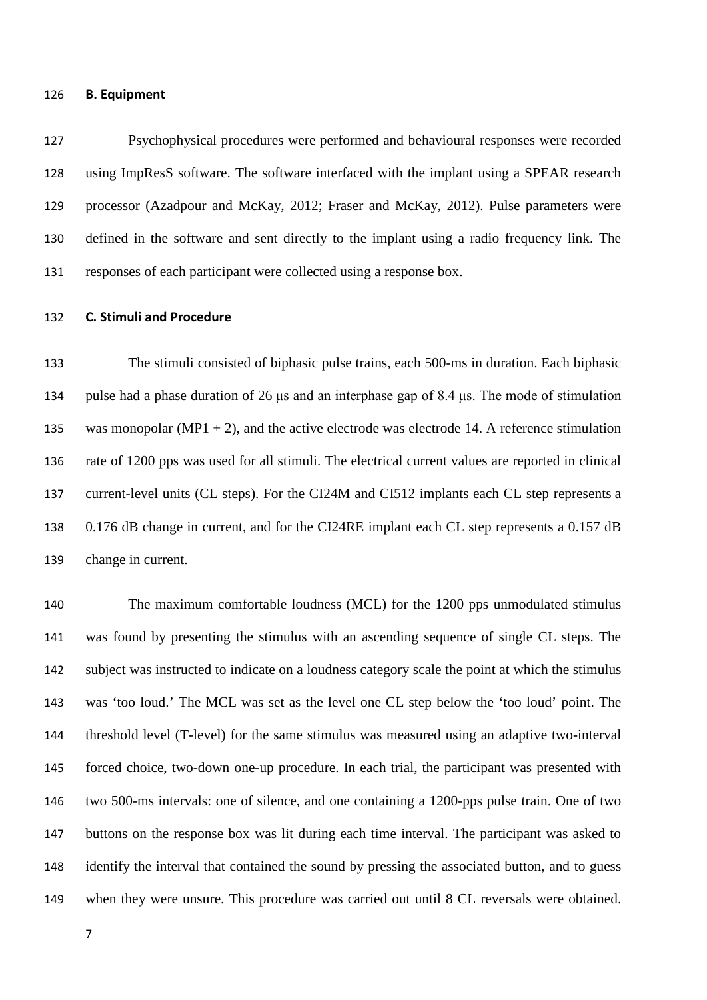## **B. Equipment**

 Psychophysical procedures were performed and behavioural responses were recorded using ImpResS software. The software interfaced with the implant using a SPEAR research processor [\(Azadpour and McKay, 2012;](#page-23-6) [Fraser and McKay, 2012\)](#page-24-2). Pulse parameters were defined in the software and sent directly to the implant using a radio frequency link. The responses of each participant were collected using a response box.

## **C. Stimuli and Procedure**

 The stimuli consisted of biphasic pulse trains, each 500-ms in duration. Each biphasic pulse had a phase duration of 26 μs and an interphase gap of 8.4 μs. The mode of stimulation 135 was monopolar (MP1 + 2), and the active electrode was electrode 14. A reference stimulation rate of 1200 pps was used for all stimuli. The electrical current values are reported in clinical current-level units (CL steps). For the CI24M and CI512 implants each CL step represents a 0.176 dB change in current, and for the CI24RE implant each CL step represents a 0.157 dB change in current.

140 The maximum comfortable loudness (MCL) for the 1200 pps unmodulated stimulus was found by presenting the stimulus with an ascending sequence of single CL steps. The subject was instructed to indicate on a loudness category scale the point at which the stimulus was 'too loud.' The MCL was set as the level one CL step below the 'too loud' point. The threshold level (T-level) for the same stimulus was measured using an adaptive two-interval forced choice, two-down one-up procedure. In each trial, the participant was presented with two 500-ms intervals: one of silence, and one containing a 1200-pps pulse train. One of two buttons on the response box was lit during each time interval. The participant was asked to identify the interval that contained the sound by pressing the associated button, and to guess when they were unsure. This procedure was carried out until 8 CL reversals were obtained.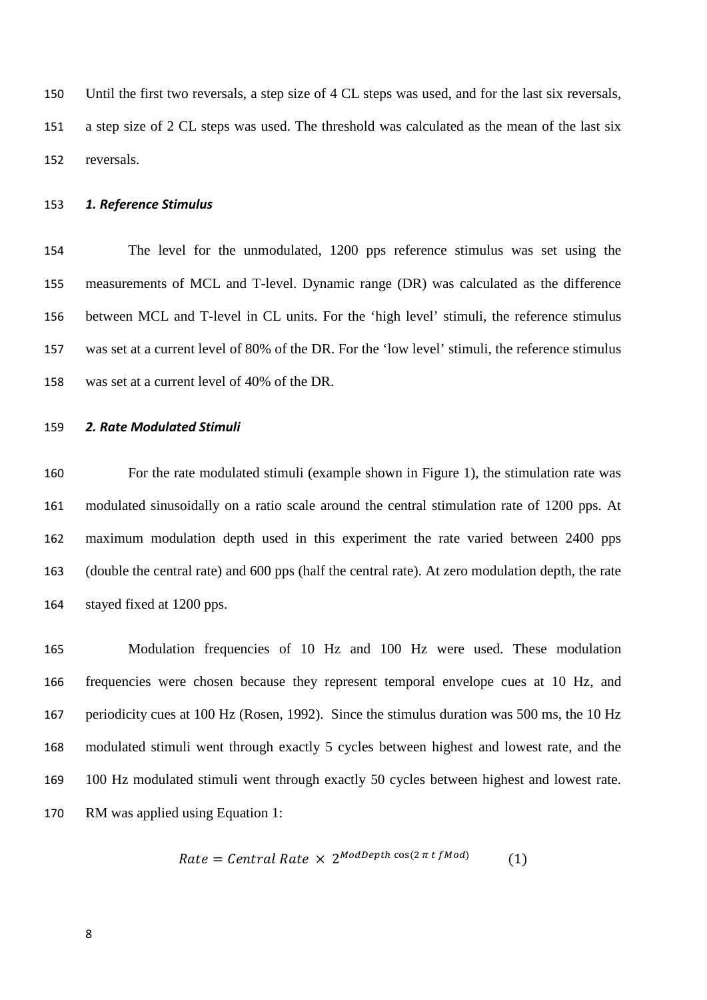Until the first two reversals, a step size of 4 CL steps was used, and for the last six reversals, a step size of 2 CL steps was used. The threshold was calculated as the mean of the last six reversals.

# *1. Reference Stimulus*

 The level for the unmodulated, 1200 pps reference stimulus was set using the measurements of MCL and T-level. Dynamic range (DR) was calculated as the difference between MCL and T-level in CL units. For the 'high level' stimuli, the reference stimulus was set at a current level of 80% of the DR. For the 'low level' stimuli, the reference stimulus was set at a current level of 40% of the DR.

## *2. Rate Modulated Stimuli*

 For the rate modulated stimuli (example shown in Figure 1), the stimulation rate was modulated sinusoidally on a ratio scale around the central stimulation rate of 1200 pps. At maximum modulation depth used in this experiment the rate varied between 2400 pps (double the central rate) and 600 pps (half the central rate). At zero modulation depth, the rate stayed fixed at 1200 pps.

 Modulation frequencies of 10 Hz and 100 Hz were used. These modulation frequencies were chosen because they represent temporal envelope cues at 10 Hz, and periodicity cues at 100 Hz (Rosen, 1992). Since the stimulus duration was 500 ms, the 10 Hz modulated stimuli went through exactly 5 cycles between highest and lowest rate, and the 100 Hz modulated stimuli went through exactly 50 cycles between highest and lowest rate. RM was applied using Equation 1:

$$
Rate = Central Rate \times 2^{ModDepth \cos(2\pi t \text{ }f\text{ }Mod)} \tag{1}
$$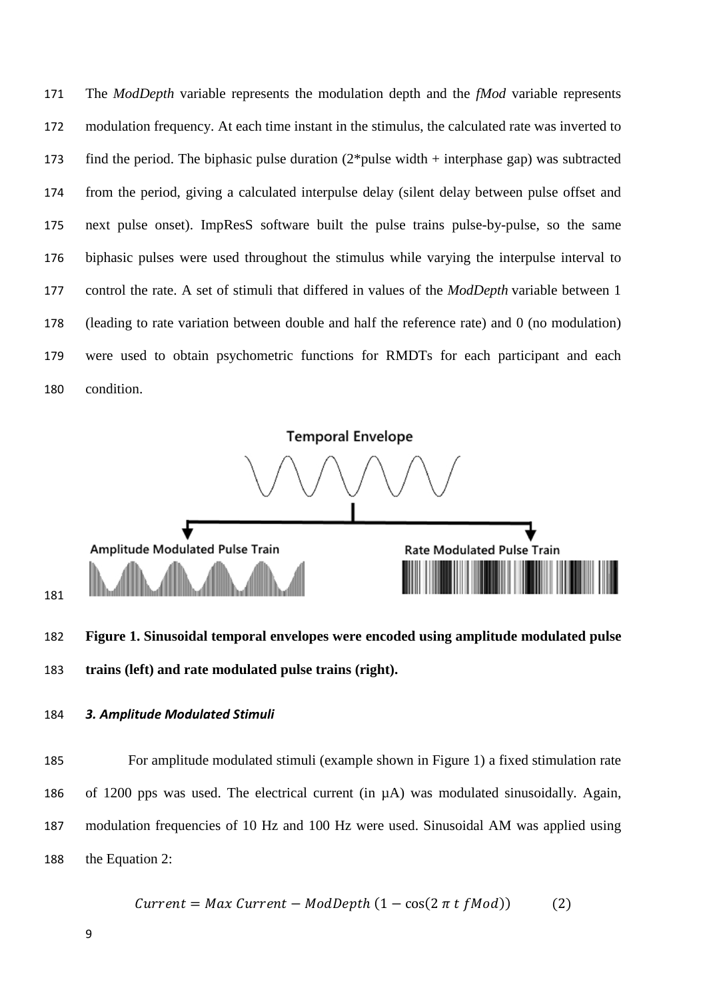The *ModDepth* variable represents the modulation depth and the *fMod* variable represents modulation frequency. At each time instant in the stimulus, the calculated rate was inverted to 173 find the period. The biphasic pulse duration  $(2^*)$  pulse width + interphase gap) was subtracted from the period, giving a calculated interpulse delay (silent delay between pulse offset and next pulse onset). ImpResS software built the pulse trains pulse-by-pulse, so the same biphasic pulses were used throughout the stimulus while varying the interpulse interval to control the rate. A set of stimuli that differed in values of the *ModDepth* variable between 1 (leading to rate variation between double and half the reference rate) and 0 (no modulation) were used to obtain psychometric functions for RMDTs for each participant and each condition.



 **Figure 1. Sinusoidal temporal envelopes were encoded using amplitude modulated pulse trains (left) and rate modulated pulse trains (right).**

*3. Amplitude Modulated Stimuli*

 For amplitude modulated stimuli (example shown in Figure 1) a fixed stimulation rate of 1200 pps was used. The electrical current (in µA) was modulated sinusoidally. Again, modulation frequencies of 10 Hz and 100 Hz were used. Sinusoidal AM was applied using the Equation 2:

$$
Current = Max Current - ModDepth (1 - \cos(2 \pi t fMod))
$$
 (2)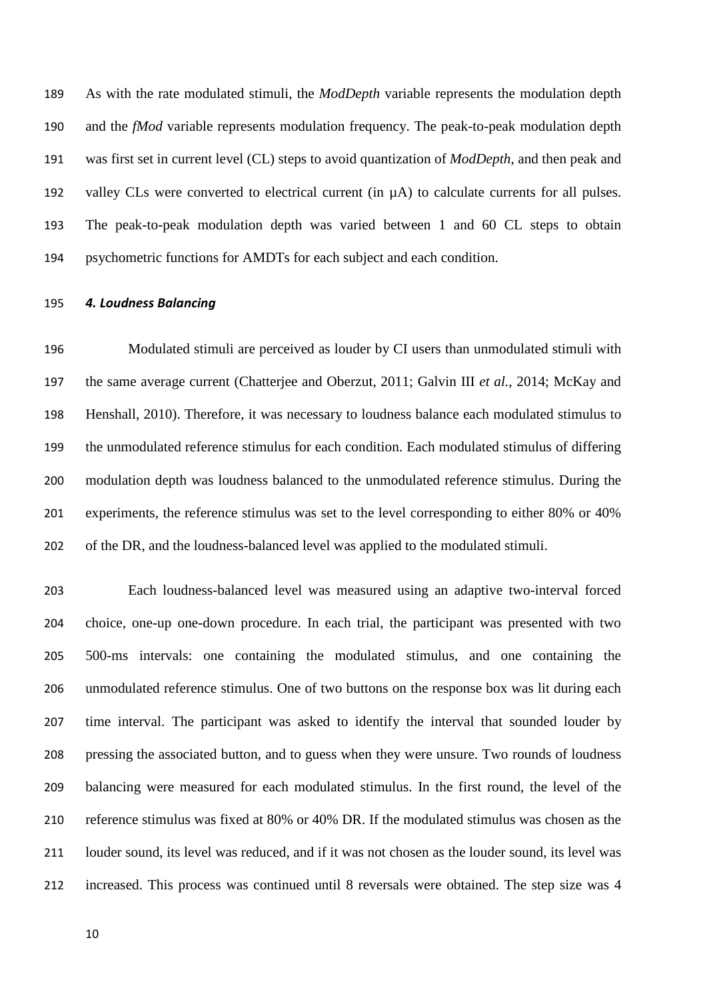As with the rate modulated stimuli, the *ModDepth* variable represents the modulation depth and the *fMod* variable represents modulation frequency. The peak-to-peak modulation depth was first set in current level (CL) steps to avoid quantization of *ModDepth*, and then peak and 192 valley CLs were converted to electrical current (in  $\mu$ A) to calculate currents for all pulses. The peak-to-peak modulation depth was varied between 1 and 60 CL steps to obtain psychometric functions for AMDTs for each subject and each condition.

#### *4. Loudness Balancing*

 Modulated stimuli are perceived as louder by CI users than unmodulated stimuli with the same average current [\(Chatterjee and Oberzut, 2011;](#page-23-4) [Galvin III](#page-24-4) *et al.*, 2014; [McKay and](#page-26-6)  [Henshall, 2010\)](#page-26-6). Therefore, it was necessary to loudness balance each modulated stimulus to the unmodulated reference stimulus for each condition. Each modulated stimulus of differing modulation depth was loudness balanced to the unmodulated reference stimulus. During the experiments, the reference stimulus was set to the level corresponding to either 80% or 40% of the DR, and the loudness-balanced level was applied to the modulated stimuli.

 Each loudness-balanced level was measured using an adaptive two-interval forced choice, one-up one-down procedure. In each trial, the participant was presented with two 500-ms intervals: one containing the modulated stimulus, and one containing the unmodulated reference stimulus. One of two buttons on the response box was lit during each time interval. The participant was asked to identify the interval that sounded louder by pressing the associated button, and to guess when they were unsure. Two rounds of loudness balancing were measured for each modulated stimulus. In the first round, the level of the reference stimulus was fixed at 80% or 40% DR. If the modulated stimulus was chosen as the louder sound, its level was reduced, and if it was not chosen as the louder sound, its level was increased. This process was continued until 8 reversals were obtained. The step size was 4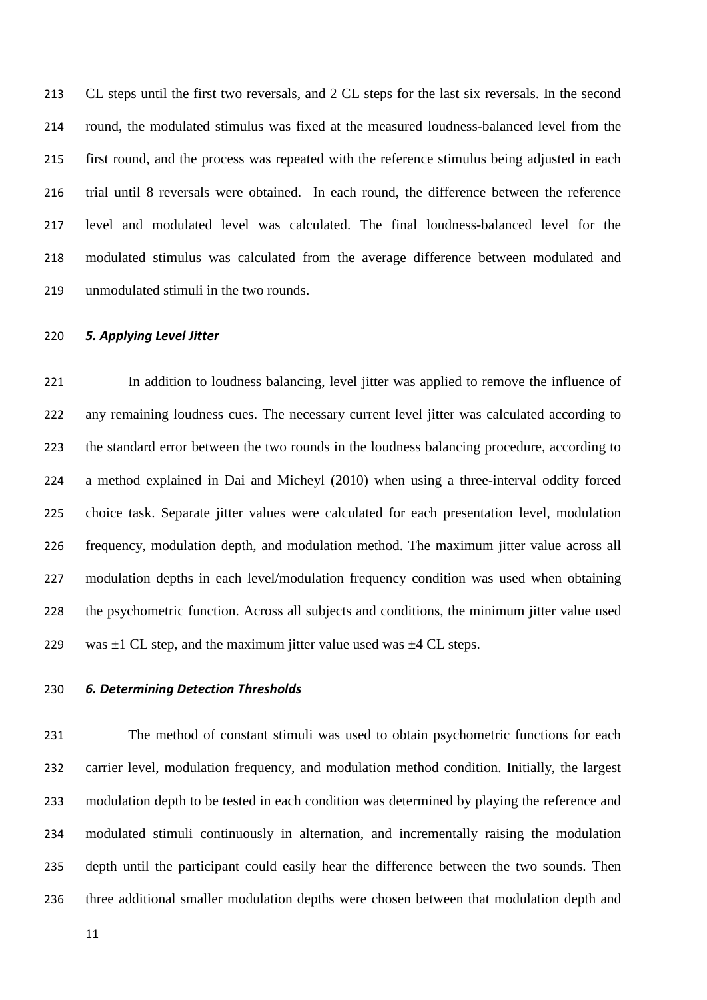CL steps until the first two reversals, and 2 CL steps for the last six reversals. In the second round, the modulated stimulus was fixed at the measured loudness-balanced level from the first round, and the process was repeated with the reference stimulus being adjusted in each trial until 8 reversals were obtained. In each round, the difference between the reference level and modulated level was calculated. The final loudness-balanced level for the modulated stimulus was calculated from the average difference between modulated and unmodulated stimuli in the two rounds.

# *5. Applying Level Jitter*

 In addition to loudness balancing, level jitter was applied to remove the influence of any remaining loudness cues. The necessary current level jitter was calculated according to the standard error between the two rounds in the loudness balancing procedure, according to a method explained in [Dai and Micheyl \(2010\)](#page-23-7) when using a three-interval oddity forced choice task. Separate jitter values were calculated for each presentation level, modulation frequency, modulation depth, and modulation method. The maximum jitter value across all modulation depths in each level/modulation frequency condition was used when obtaining the psychometric function. Across all subjects and conditions, the minimum jitter value used 229 was  $\pm 1$  CL step, and the maximum jitter value used was  $\pm 4$  CL steps.

# *6. Determining Detection Thresholds*

 The method of constant stimuli was used to obtain psychometric functions for each carrier level, modulation frequency, and modulation method condition. Initially, the largest modulation depth to be tested in each condition was determined by playing the reference and modulated stimuli continuously in alternation, and incrementally raising the modulation depth until the participant could easily hear the difference between the two sounds. Then three additional smaller modulation depths were chosen between that modulation depth and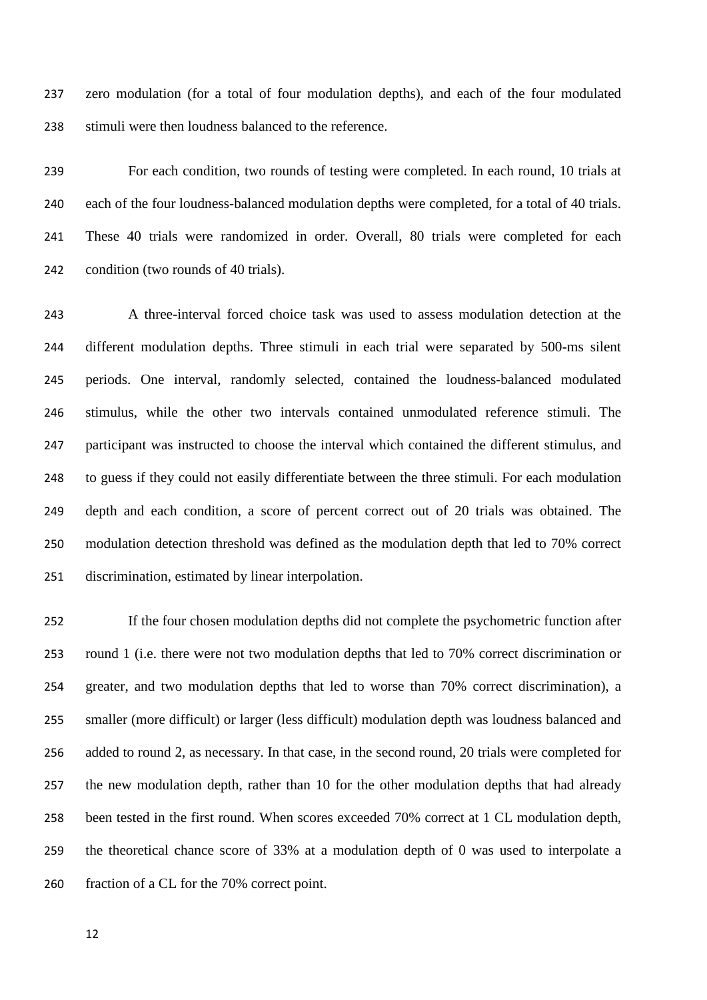zero modulation (for a total of four modulation depths), and each of the four modulated stimuli were then loudness balanced to the reference.

 For each condition, two rounds of testing were completed. In each round, 10 trials at each of the four loudness-balanced modulation depths were completed, for a total of 40 trials. These 40 trials were randomized in order. Overall, 80 trials were completed for each condition (two rounds of 40 trials).

 A three-interval forced choice task was used to assess modulation detection at the different modulation depths. Three stimuli in each trial were separated by 500-ms silent periods. One interval, randomly selected, contained the loudness-balanced modulated stimulus, while the other two intervals contained unmodulated reference stimuli. The participant was instructed to choose the interval which contained the different stimulus, and to guess if they could not easily differentiate between the three stimuli. For each modulation depth and each condition, a score of percent correct out of 20 trials was obtained. The modulation detection threshold was defined as the modulation depth that led to 70% correct discrimination, estimated by linear interpolation.

 If the four chosen modulation depths did not complete the psychometric function after round 1 (i.e. there were not two modulation depths that led to 70% correct discrimination or greater, and two modulation depths that led to worse than 70% correct discrimination), a smaller (more difficult) or larger (less difficult) modulation depth was loudness balanced and added to round 2, as necessary. In that case, in the second round, 20 trials were completed for the new modulation depth, rather than 10 for the other modulation depths that had already been tested in the first round. When scores exceeded 70% correct at 1 CL modulation depth, the theoretical chance score of 33% at a modulation depth of 0 was used to interpolate a fraction of a CL for the 70% correct point.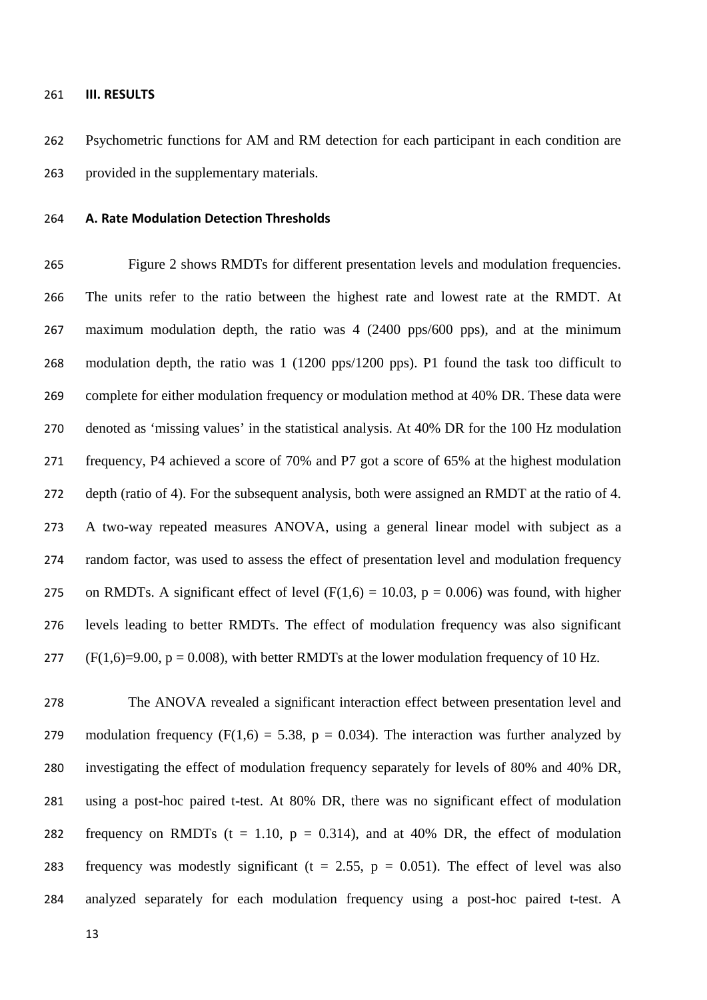#### **III. RESULTS**

 Psychometric functions for AM and RM detection for each participant in each condition are provided in the supplementary materials.

# **A. Rate Modulation Detection Thresholds**

 Figure 2 shows RMDTs for different presentation levels and modulation frequencies. The units refer to the ratio between the highest rate and lowest rate at the RMDT. At maximum modulation depth, the ratio was 4 (2400 pps/600 pps), and at the minimum modulation depth, the ratio was 1 (1200 pps/1200 pps). P1 found the task too difficult to complete for either modulation frequency or modulation method at 40% DR. These data were denoted as 'missing values' in the statistical analysis. At 40% DR for the 100 Hz modulation frequency, P4 achieved a score of 70% and P7 got a score of 65% at the highest modulation depth (ratio of 4). For the subsequent analysis, both were assigned an RMDT at the ratio of 4. A two-way repeated measures ANOVA, using a general linear model with subject as a random factor, was used to assess the effect of presentation level and modulation frequency 275 on RMDTs. A significant effect of level  $(F(1,6) = 10.03, p = 0.006)$  was found, with higher levels leading to better RMDTs. The effect of modulation frequency was also significant 277 (F(1,6)=9.00, p = 0.008), with better RMDTs at the lower modulation frequency of 10 Hz.

 The ANOVA revealed a significant interaction effect between presentation level and 279 modulation frequency (F(1,6) = 5.38, p = 0.034). The interaction was further analyzed by investigating the effect of modulation frequency separately for levels of 80% and 40% DR, using a post-hoc paired t-test. At 80% DR, there was no significant effect of modulation 282 frequency on RMDTs ( $t = 1.10$ ,  $p = 0.314$ ), and at 40% DR, the effect of modulation 283 frequency was modestly significant ( $t = 2.55$ ,  $p = 0.051$ ). The effect of level was also analyzed separately for each modulation frequency using a post-hoc paired t-test. A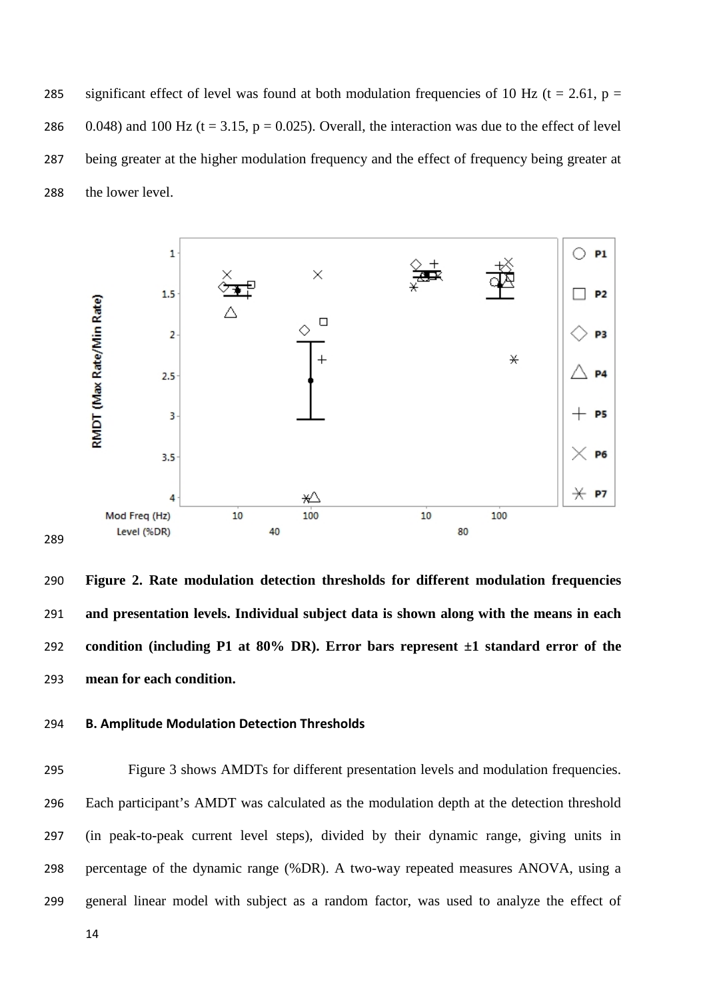285 significant effect of level was found at both modulation frequencies of 10 Hz ( $t = 2.61$ ,  $p =$ 286 0.048) and 100 Hz (t = 3.15, p = 0.025). Overall, the interaction was due to the effect of level being greater at the higher modulation frequency and the effect of frequency being greater at the lower level.



 **Figure 2. Rate modulation detection thresholds for different modulation frequencies and presentation levels. Individual subject data is shown along with the means in each condition (including P1 at 80% DR). Error bars represent ±1 standard error of the mean for each condition.**

# **B. Amplitude Modulation Detection Thresholds**

 Figure 3 shows AMDTs for different presentation levels and modulation frequencies. Each participant's AMDT was calculated as the modulation depth at the detection threshold (in peak-to-peak current level steps), divided by their dynamic range, giving units in percentage of the dynamic range (%DR). A two-way repeated measures ANOVA, using a general linear model with subject as a random factor, was used to analyze the effect of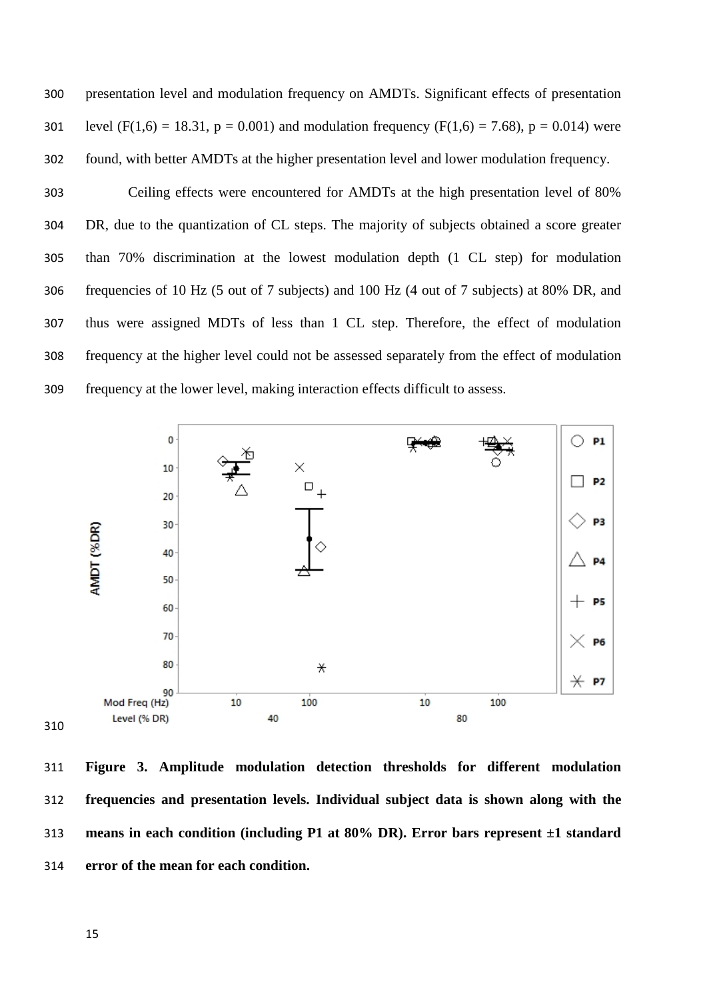presentation level and modulation frequency on AMDTs. Significant effects of presentation 301 level (F(1,6) = 18.31, p = 0.001) and modulation frequency (F(1,6) = 7.68), p = 0.014) were found, with better AMDTs at the higher presentation level and lower modulation frequency.

 Ceiling effects were encountered for AMDTs at the high presentation level of 80% DR, due to the quantization of CL steps. The majority of subjects obtained a score greater than 70% discrimination at the lowest modulation depth (1 CL step) for modulation frequencies of 10 Hz (5 out of 7 subjects) and 100 Hz (4 out of 7 subjects) at 80% DR, and thus were assigned MDTs of less than 1 CL step. Therefore, the effect of modulation frequency at the higher level could not be assessed separately from the effect of modulation frequency at the lower level, making interaction effects difficult to assess.



 **Figure 3. Amplitude modulation detection thresholds for different modulation frequencies and presentation levels. Individual subject data is shown along with the means in each condition (including P1 at 80% DR). Error bars represent ±1 standard error of the mean for each condition.**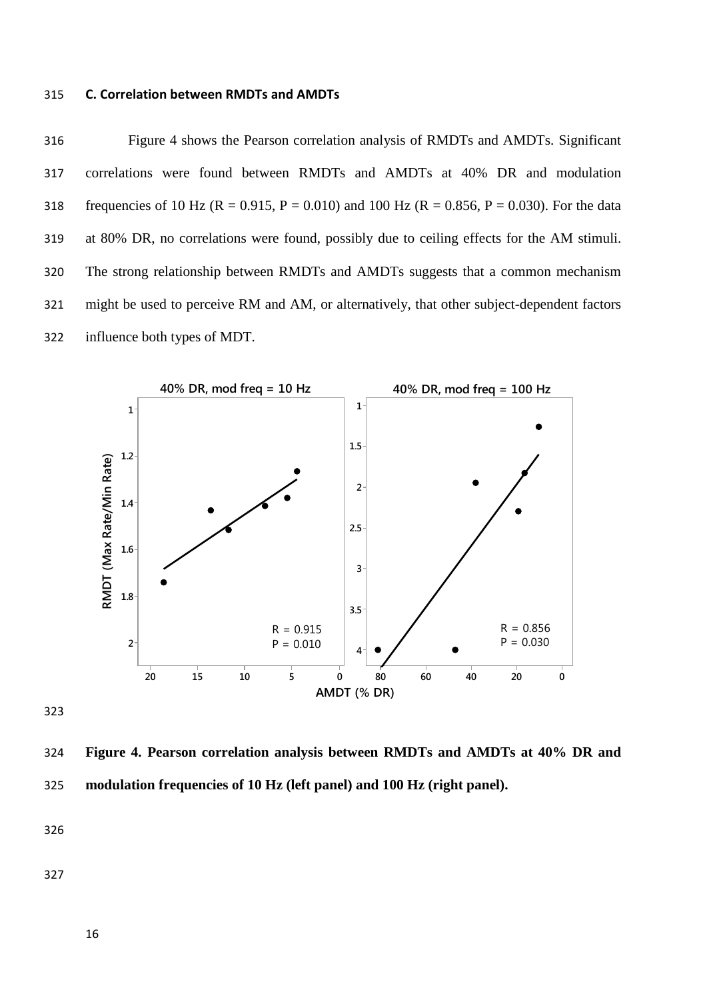#### 315 **C. Correlation between RMDTs and AMDTs**

316 Figure 4 shows the Pearson correlation analysis of RMDTs and AMDTs. Significant 317 correlations were found between RMDTs and AMDTs at 40% DR and modulation 318 frequencies of 10 Hz (R = 0.915, P = 0.010) and 100 Hz (R = 0.856, P = 0.030). For the data 319 at 80% DR, no correlations were found, possibly due to ceiling effects for the AM stimuli. 320 The strong relationship between RMDTs and AMDTs suggests that a common mechanism 321 might be used to perceive RM and AM, or alternatively, that other subject-dependent factors 322 influence both types of MDT.



323

324 **Figure 4. Pearson correlation analysis between RMDTs and AMDTs at 40% DR and**  325 **modulation frequencies of 10 Hz (left panel) and 100 Hz (right panel).**

326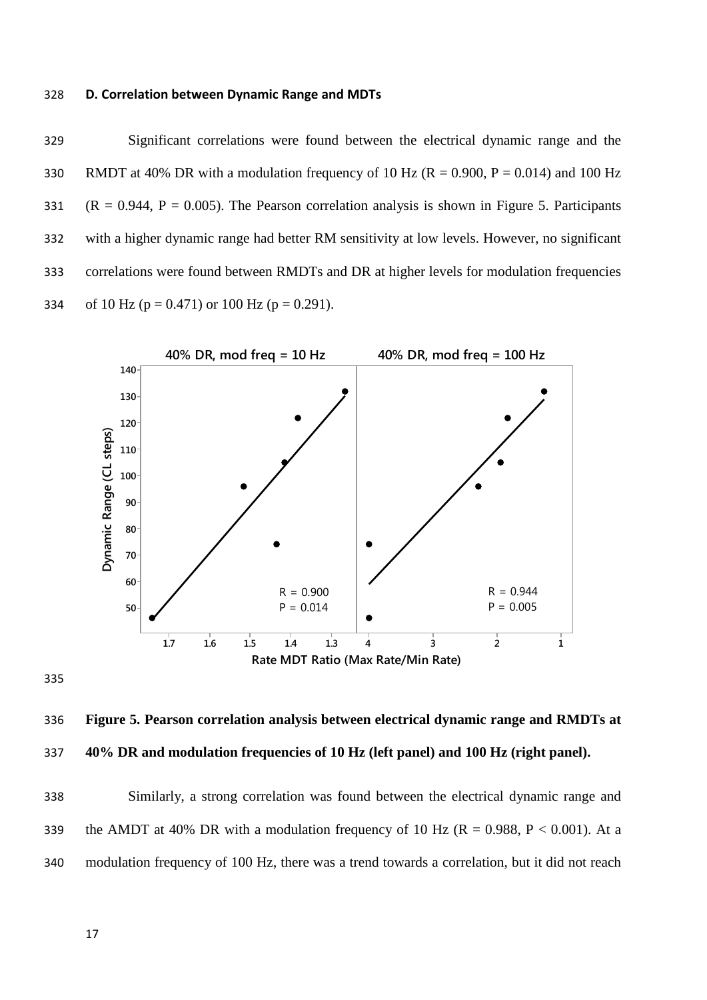## 328 **D. Correlation between Dynamic Range and MDTs**

329 Significant correlations were found between the electrical dynamic range and the 330 RMDT at 40% DR with a modulation frequency of 10 Hz ( $R = 0.900$ ,  $P = 0.014$ ) and 100 Hz 331 ( $R = 0.944$ ,  $P = 0.005$ ). The Pearson correlation analysis is shown in Figure 5. Participants 332 with a higher dynamic range had better RM sensitivity at low levels. However, no significant 333 correlations were found between RMDTs and DR at higher levels for modulation frequencies 334 of 10 Hz ( $p = 0.471$ ) or 100 Hz ( $p = 0.291$ ).







338 Similarly, a strong correlation was found between the electrical dynamic range and 339 the AMDT at 40% DR with a modulation frequency of 10 Hz ( $R = 0.988$ ,  $P < 0.001$ ). At a 340 modulation frequency of 100 Hz, there was a trend towards a correlation, but it did not reach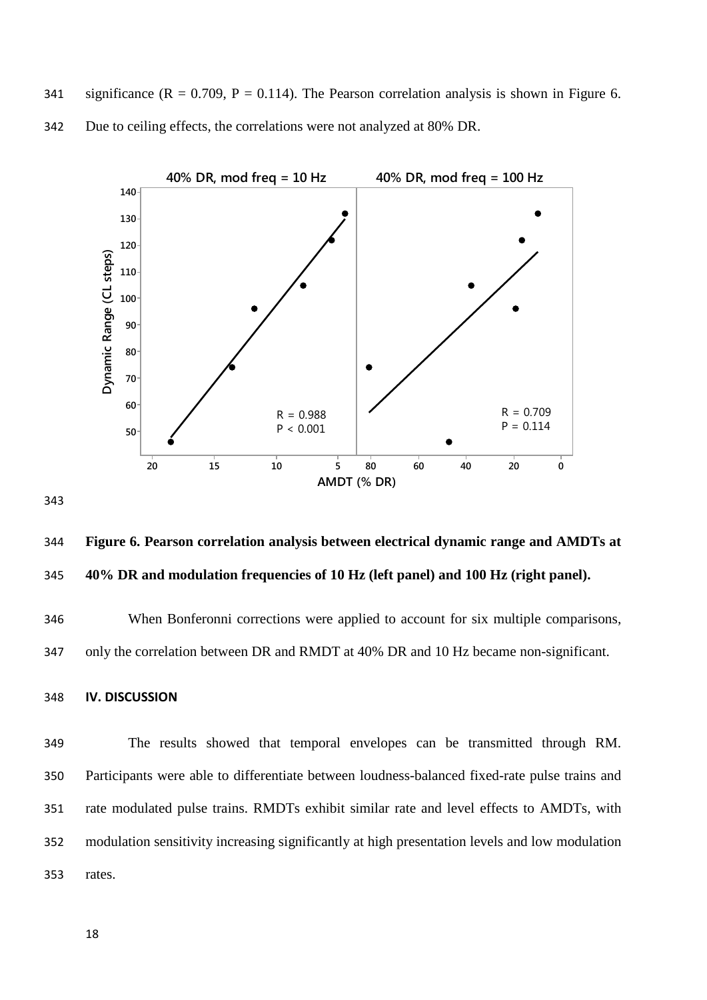341 significance ( $R = 0.709$ ,  $P = 0.114$ ). The Pearson correlation analysis is shown in Figure 6. Due to ceiling effects, the correlations were not analyzed at 80% DR.



 **Figure 6. Pearson correlation analysis between electrical dynamic range and AMDTs at 40% DR and modulation frequencies of 10 Hz (left panel) and 100 Hz (right panel).** 

 When Bonferonni corrections were applied to account for six multiple comparisons, only the correlation between DR and RMDT at 40% DR and 10 Hz became non-significant.

```
348 IV. DISCUSSION
```
 The results showed that temporal envelopes can be transmitted through RM. Participants were able to differentiate between loudness-balanced fixed-rate pulse trains and rate modulated pulse trains. RMDTs exhibit similar rate and level effects to AMDTs, with modulation sensitivity increasing significantly at high presentation levels and low modulation rates.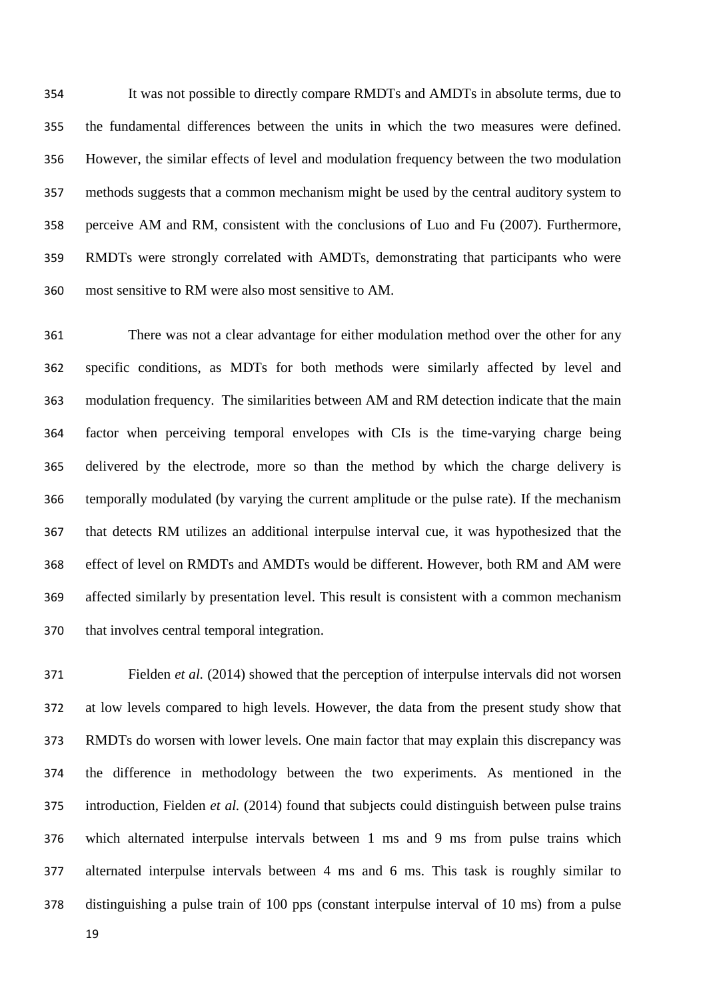It was not possible to directly compare RMDTs and AMDTs in absolute terms, due to the fundamental differences between the units in which the two measures were defined. However, the similar effects of level and modulation frequency between the two modulation methods suggests that a common mechanism might be used by the central auditory system to perceive AM and RM, consistent with the conclusions of [Luo and Fu \(2007\).](#page-25-4) Furthermore, RMDTs were strongly correlated with AMDTs, demonstrating that participants who were most sensitive to RM were also most sensitive to AM.

 There was not a clear advantage for either modulation method over the other for any specific conditions, as MDTs for both methods were similarly affected by level and modulation frequency. The similarities between AM and RM detection indicate that the main factor when perceiving temporal envelopes with CIs is the time-varying charge being delivered by the electrode, more so than the method by which the charge delivery is temporally modulated (by varying the current amplitude or the pulse rate). If the mechanism that detects RM utilizes an additional interpulse interval cue, it was hypothesized that the effect of level on RMDTs and AMDTs would be different. However, both RM and AM were affected similarly by presentation level. This result is consistent with a common mechanism that involves central temporal integration.

 [Fielden](#page-24-7) *et al.* (2014) showed that the perception of interpulse intervals did not worsen at low levels compared to high levels. However, the data from the present study show that RMDTs do worsen with lower levels. One main factor that may explain this discrepancy was the difference in methodology between the two experiments. As mentioned in the introduction, [Fielden](#page-24-7) *et al.* (2014) found that subjects could distinguish between pulse trains which alternated interpulse intervals between 1 ms and 9 ms from pulse trains which alternated interpulse intervals between 4 ms and 6 ms. This task is roughly similar to distinguishing a pulse train of 100 pps (constant interpulse interval of 10 ms) from a pulse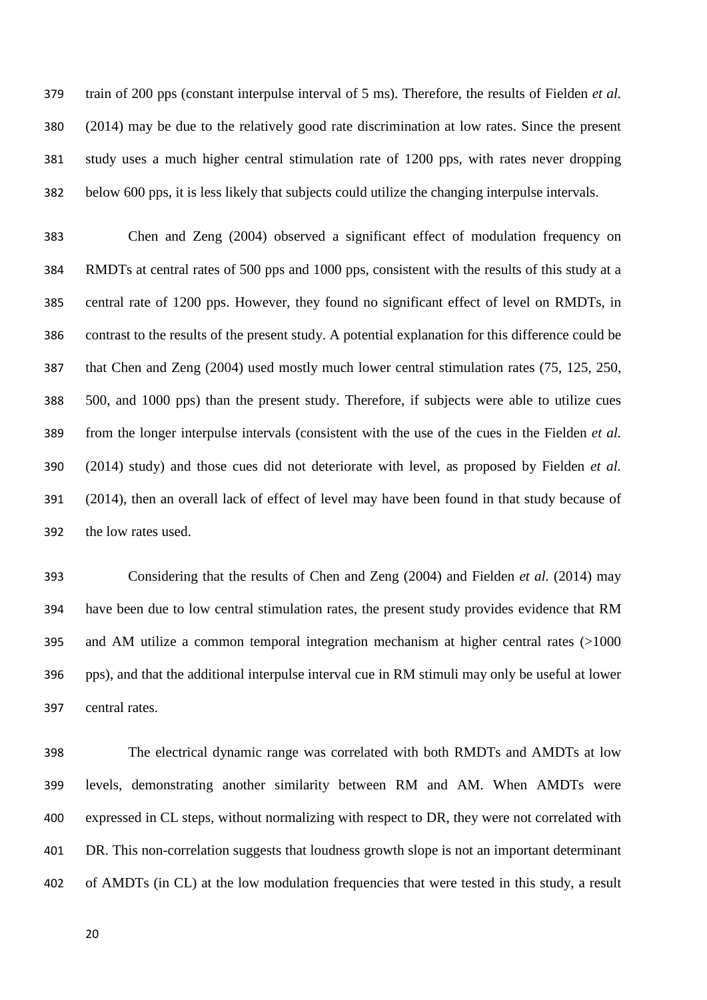train of 200 pps (constant interpulse interval of 5 ms). Therefore, the results of [Fielden](#page-24-7) *et al.* (2014) may be due to the relatively good rate discrimination at low rates. Since the present study uses a much higher central stimulation rate of 1200 pps, with rates never dropping below 600 pps, it is less likely that subjects could utilize the changing interpulse intervals.

 [Chen and Zeng \(2004\)](#page-23-5) observed a significant effect of modulation frequency on RMDTs at central rates of 500 pps and 1000 pps, consistent with the results of this study at a central rate of 1200 pps. However, they found no significant effect of level on RMDTs, in contrast to the results of the present study. A potential explanation for this difference could be that [Chen and Zeng \(2004\)](#page-23-5) used mostly much lower central stimulation rates (75, 125, 250, 500, and 1000 pps) than the present study. Therefore, if subjects were able to utilize cues from the longer interpulse intervals (consistent with the use of the cues in the [Fielden](#page-24-7) *et al.* (2014) study) and those cues did not deteriorate with level, as proposed by [Fielden](#page-24-7) *et al.* (2014), then an overall lack of effect of level may have been found in that study because of the low rates used.

 Considering that the results of [Chen and Zeng \(2004\)](#page-23-5) and [Fielden](#page-24-7) *et al.* (2014) may have been due to low central stimulation rates, the present study provides evidence that RM and AM utilize a common temporal integration mechanism at higher central rates (>1000 pps), and that the additional interpulse interval cue in RM stimuli may only be useful at lower central rates.

 The electrical dynamic range was correlated with both RMDTs and AMDTs at low levels, demonstrating another similarity between RM and AM. When AMDTs were expressed in CL steps, without normalizing with respect to DR, they were not correlated with DR. This non-correlation suggests that loudness growth slope is not an important determinant of AMDTs (in CL) at the low modulation frequencies that were tested in this study, a result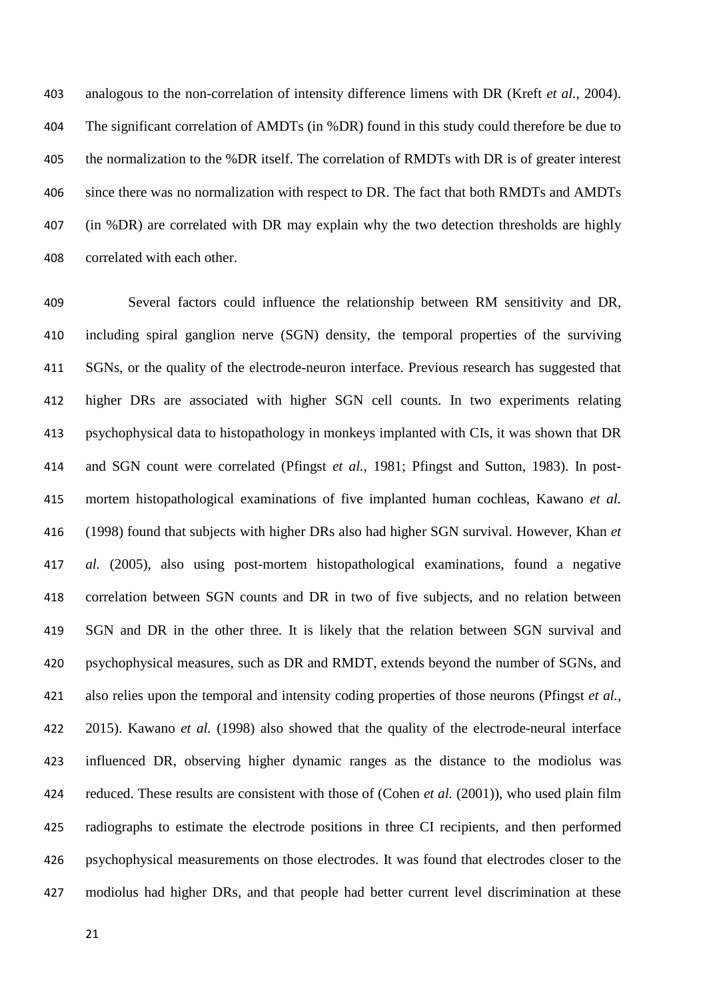analogous to the non-correlation of intensity difference limens with DR (Kreft *et al.*[, 2004\)](#page-25-5). The significant correlation of AMDTs (in %DR) found in this study could therefore be due to the normalization to the %DR itself. The correlation of RMDTs with DR is of greater interest since there was no normalization with respect to DR. The fact that both RMDTs and AMDTs (in %DR) are correlated with DR may explain why the two detection thresholds are highly correlated with each other.

 Several factors could influence the relationship between RM sensitivity and DR, including spiral ganglion nerve (SGN) density, the temporal properties of the surviving SGNs, or the quality of the electrode-neuron interface. Previous research has suggested that higher DRs are associated with higher SGN cell counts. In two experiments relating psychophysical data to histopathology in monkeys implanted with CIs, it was shown that DR and SGN count were correlated [\(Pfingst](#page-26-7) *et al.*, 1981; [Pfingst and Sutton, 1983\)](#page-26-8). In post- mortem histopathological examinations of five implanted human cochleas, [Kawano](#page-25-6) *et al.* (1998) found that subjects with higher DRs also had higher SGN survival. However, [Khan](#page-25-7) *et al.* (2005), also using post-mortem histopathological examinations, found a negative correlation between SGN counts and DR in two of five subjects, and no relation between SGN and DR in the other three. It is likely that the relation between SGN survival and psychophysical measures, such as DR and RMDT, extends beyond the number of SGNs, and also relies upon the temporal and intensity coding properties of those neurons [\(Pfingst](#page-26-9) *et al.*, [2015\)](#page-26-9). [Kawano](#page-25-6) *et al.* (1998) also showed that the quality of the electrode-neural interface influenced DR, observing higher dynamic ranges as the distance to the modiolus was reduced. These results are consistent with those of (Cohen *et al.* [\(2001\)\)](#page-23-8), who used plain film radiographs to estimate the electrode positions in three CI recipients, and then performed psychophysical measurements on those electrodes. It was found that electrodes closer to the modiolus had higher DRs, and that people had better current level discrimination at these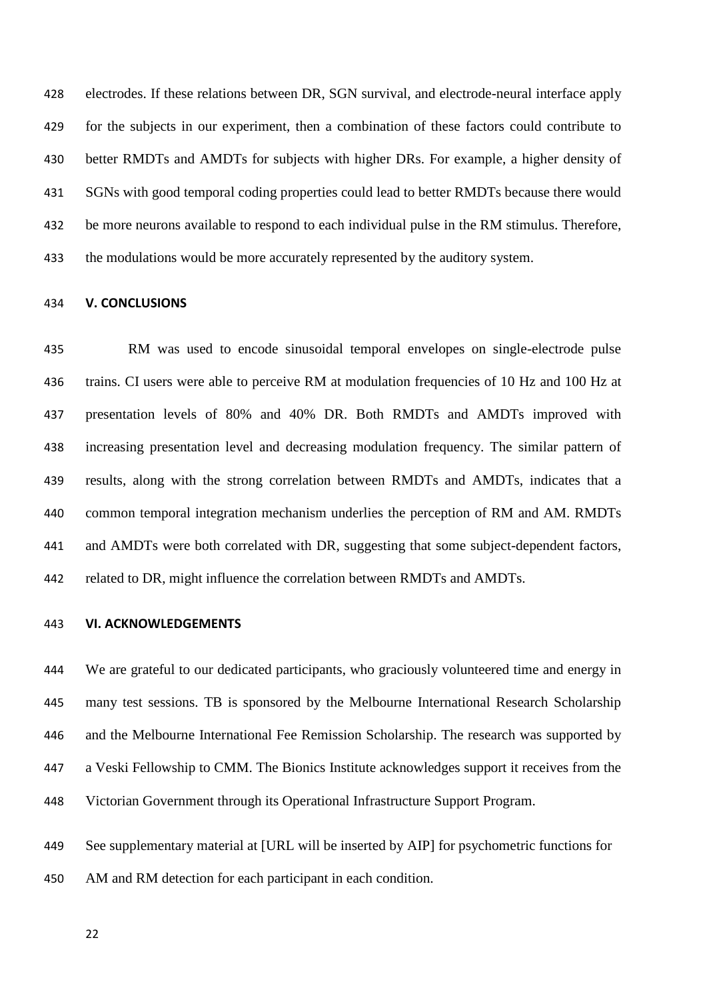electrodes. If these relations between DR, SGN survival, and electrode-neural interface apply for the subjects in our experiment, then a combination of these factors could contribute to better RMDTs and AMDTs for subjects with higher DRs. For example, a higher density of SGNs with good temporal coding properties could lead to better RMDTs because there would be more neurons available to respond to each individual pulse in the RM stimulus. Therefore, the modulations would be more accurately represented by the auditory system.

#### **V. CONCLUSIONS**

 RM was used to encode sinusoidal temporal envelopes on single-electrode pulse trains. CI users were able to perceive RM at modulation frequencies of 10 Hz and 100 Hz at presentation levels of 80% and 40% DR. Both RMDTs and AMDTs improved with increasing presentation level and decreasing modulation frequency. The similar pattern of results, along with the strong correlation between RMDTs and AMDTs, indicates that a common temporal integration mechanism underlies the perception of RM and AM. RMDTs and AMDTs were both correlated with DR, suggesting that some subject-dependent factors, related to DR, might influence the correlation between RMDTs and AMDTs.

## **VI. ACKNOWLEDGEMENTS**

 We are grateful to our dedicated participants, who graciously volunteered time and energy in many test sessions. TB is sponsored by the Melbourne International Research Scholarship and the Melbourne International Fee Remission Scholarship. The research was supported by a Veski Fellowship to CMM. The Bionics Institute acknowledges support it receives from the Victorian Government through its Operational Infrastructure Support Program.

 See supplementary material at [URL will be inserted by AIP] for psychometric functions for AM and RM detection for each participant in each condition.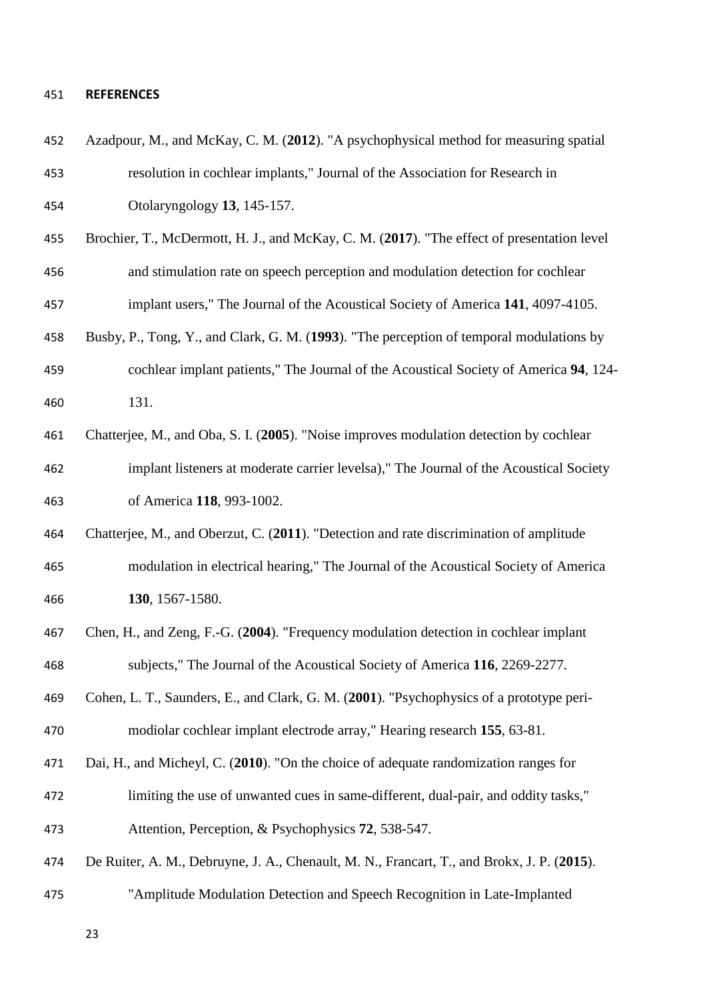# **REFERENCES**

<span id="page-23-8"></span><span id="page-23-7"></span><span id="page-23-6"></span><span id="page-23-5"></span><span id="page-23-4"></span><span id="page-23-3"></span><span id="page-23-2"></span><span id="page-23-1"></span><span id="page-23-0"></span>

| 452 | Azadpour, M., and McKay, C. M. (2012). "A psychophysical method for measuring spatial      |
|-----|--------------------------------------------------------------------------------------------|
| 453 | resolution in cochlear implants," Journal of the Association for Research in               |
| 454 | Otolaryngology 13, 145-157.                                                                |
| 455 | Brochier, T., McDermott, H. J., and McKay, C. M. (2017). "The effect of presentation level |
| 456 | and stimulation rate on speech perception and modulation detection for cochlear            |
| 457 | implant users," The Journal of the Acoustical Society of America 141, 4097-4105.           |
| 458 | Busby, P., Tong, Y., and Clark, G. M. (1993). "The perception of temporal modulations by   |
| 459 | cochlear implant patients," The Journal of the Acoustical Society of America 94, 124-      |
| 460 | 131.                                                                                       |
| 461 | Chatterjee, M., and Oba, S. I. (2005). "Noise improves modulation detection by cochlear    |
| 462 | implant listeners at moderate carrier levelsa)," The Journal of the Acoustical Society     |
| 463 | of America 118, 993-1002.                                                                  |
| 464 | Chatterjee, M., and Oberzut, C. (2011). "Detection and rate discrimination of amplitude    |
| 465 | modulation in electrical hearing," The Journal of the Acoustical Society of America        |
| 466 | 130, 1567-1580.                                                                            |
| 467 | Chen, H., and Zeng, F.-G. (2004). "Frequency modulation detection in cochlear implant      |
| 468 | subjects," The Journal of the Acoustical Society of America 116, 2269-2277.                |
| 469 | Cohen, L. T., Saunders, E., and Clark, G. M. (2001). "Psychophysics of a prototype peri-   |
| 470 | modiolar cochlear implant electrode array," Hearing research 155, 63-81.                   |
| 471 | Dai, H., and Micheyl, C. (2010). "On the choice of adequate randomization ranges for       |
| 472 | limiting the use of unwanted cues in same-different, dual-pair, and oddity tasks,"         |
| 473 | Attention, Perception, & Psychophysics 72, 538-547.                                        |
| 474 | De Ruiter, A. M., Debruyne, J. A., Chenault, M. N., Francart, T., and Brokx, J. P. (2015). |
| 475 | "Amplitude Modulation Detection and Speech Recognition in Late-Implanted                   |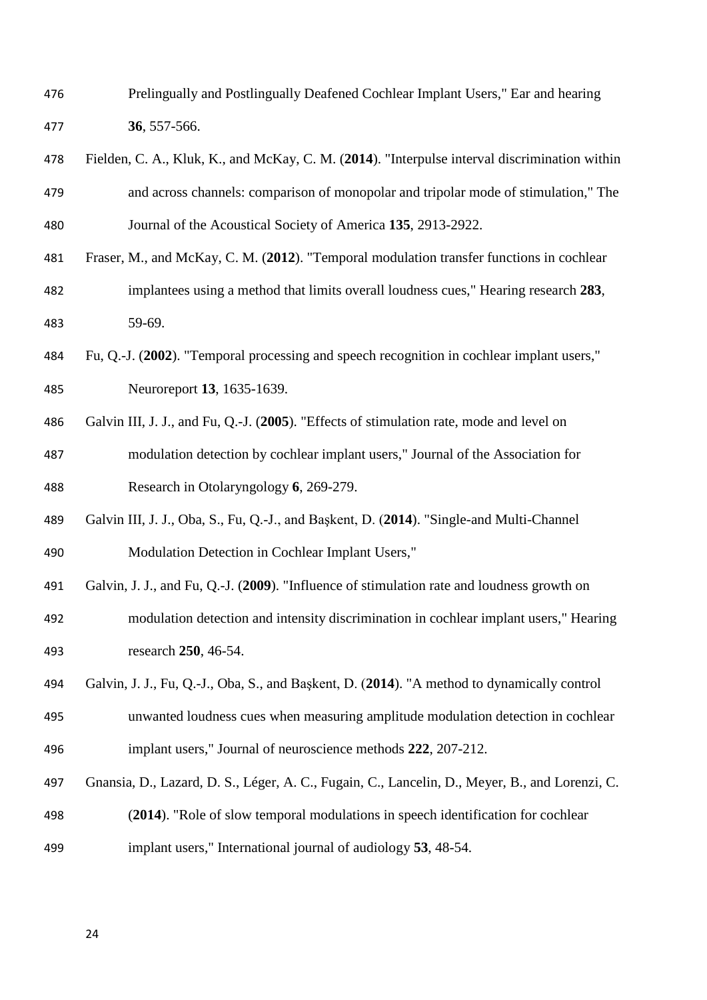- Prelingually and Postlingually Deafened Cochlear Implant Users," Ear and hearing **36**, 557-566.
- <span id="page-24-7"></span> Fielden, C. A., Kluk, K., and McKay, C. M. (**2014**). "Interpulse interval discrimination within and across channels: comparison of monopolar and tripolar mode of stimulation," The Journal of the Acoustical Society of America **135**, 2913-2922.
- <span id="page-24-2"></span> Fraser, M., and McKay, C. M. (**2012**). "Temporal modulation transfer functions in cochlear implantees using a method that limits overall loudness cues," Hearing research **283**, 59-69.
- <span id="page-24-0"></span> Fu, Q.-J. (**2002**). "Temporal processing and speech recognition in cochlear implant users," Neuroreport **13**, 1635-1639.
- <span id="page-24-3"></span> Galvin III, J. J., and Fu, Q.-J. (**2005**). "Effects of stimulation rate, mode and level on modulation detection by cochlear implant users," Journal of the Association for Research in Otolaryngology **6**, 269-279.
- <span id="page-24-4"></span> Galvin III, J. J., Oba, S., Fu, Q.-J., and Başkent, D. (**2014**). "Single-and Multi-Channel Modulation Detection in Cochlear Implant Users,"
- <span id="page-24-5"></span>Galvin, J. J., and Fu, Q.-J. (**2009**). "Influence of stimulation rate and loudness growth on
- modulation detection and intensity discrimination in cochlear implant users," Hearing research **250**, 46-54.
- <span id="page-24-6"></span> Galvin, J. J., Fu, Q.-J., Oba, S., and Başkent, D. (**2014**). "A method to dynamically control unwanted loudness cues when measuring amplitude modulation detection in cochlear
- implant users," Journal of neuroscience methods **222**, 207-212.
- <span id="page-24-1"></span> Gnansia, D., Lazard, D. S., Léger, A. C., Fugain, C., Lancelin, D., Meyer, B., and Lorenzi, C. (**2014**). "Role of slow temporal modulations in speech identification for cochlear
- implant users," International journal of audiology **53**, 48-54.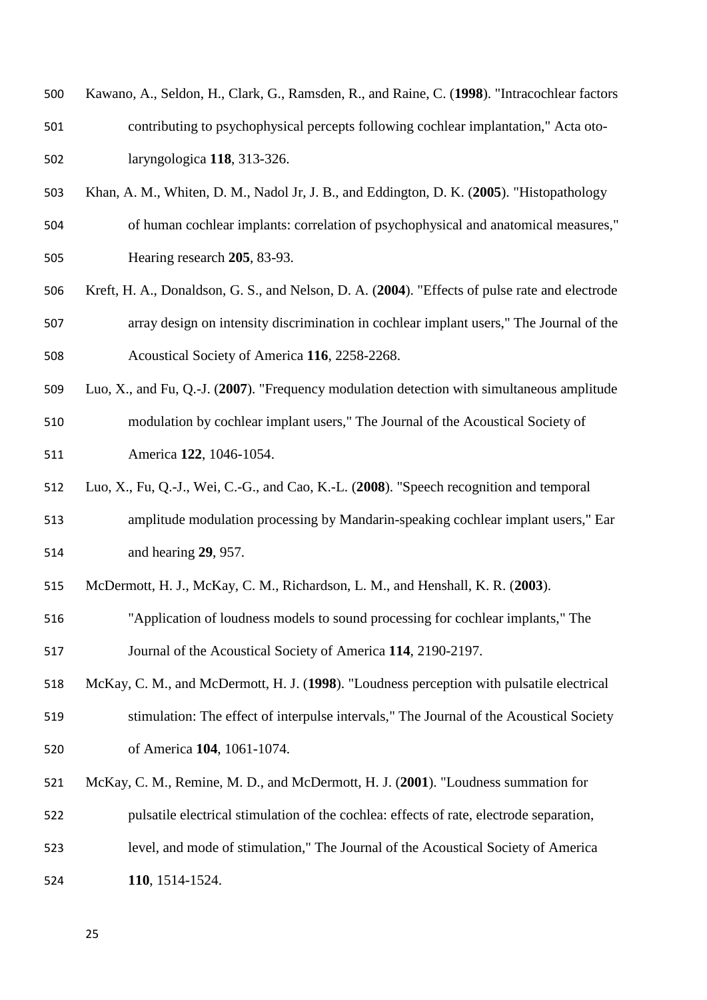<span id="page-25-6"></span>

| 500 | Kawano, A., Seldon, H., Clark, G., Ramsden, R., and Raine, C. (1998). "Intracochlear factors |
|-----|----------------------------------------------------------------------------------------------|
| 501 | contributing to psychophysical percepts following cochlear implantation," Acta oto-          |
| 502 | laryngologica $118$ , 313-326.                                                               |

- <span id="page-25-7"></span> Khan, A. M., Whiten, D. M., Nadol Jr, J. B., and Eddington, D. K. (**2005**). "Histopathology of human cochlear implants: correlation of psychophysical and anatomical measures," Hearing research **205**, 83-93.
- <span id="page-25-5"></span> Kreft, H. A., Donaldson, G. S., and Nelson, D. A. (**2004**). "Effects of pulse rate and electrode array design on intensity discrimination in cochlear implant users," The Journal of the Acoustical Society of America **116**, 2258-2268.
- <span id="page-25-4"></span> Luo, X., and Fu, Q.-J. (**2007**). "Frequency modulation detection with simultaneous amplitude modulation by cochlear implant users," The Journal of the Acoustical Society of America **122**, 1046-1054.
- <span id="page-25-0"></span> Luo, X., Fu, Q.-J., Wei, C.-G., and Cao, K.-L. (**2008**). "Speech recognition and temporal amplitude modulation processing by Mandarin-speaking cochlear implant users," Ear and hearing **29**, 957.
- <span id="page-25-1"></span>McDermott, H. J., McKay, C. M., Richardson, L. M., and Henshall, K. R. (**2003**).
- "Application of loudness models to sound processing for cochlear implants," The Journal of the Acoustical Society of America **114**, 2190-2197.
- <span id="page-25-2"></span> McKay, C. M., and McDermott, H. J. (**1998**). "Loudness perception with pulsatile electrical stimulation: The effect of interpulse intervals," The Journal of the Acoustical Society of America **104**, 1061-1074.
- <span id="page-25-3"></span>McKay, C. M., Remine, M. D., and McDermott, H. J. (**2001**). "Loudness summation for
- pulsatile electrical stimulation of the cochlea: effects of rate, electrode separation,
- level, and mode of stimulation," The Journal of the Acoustical Society of America
- **110**, 1514-1524.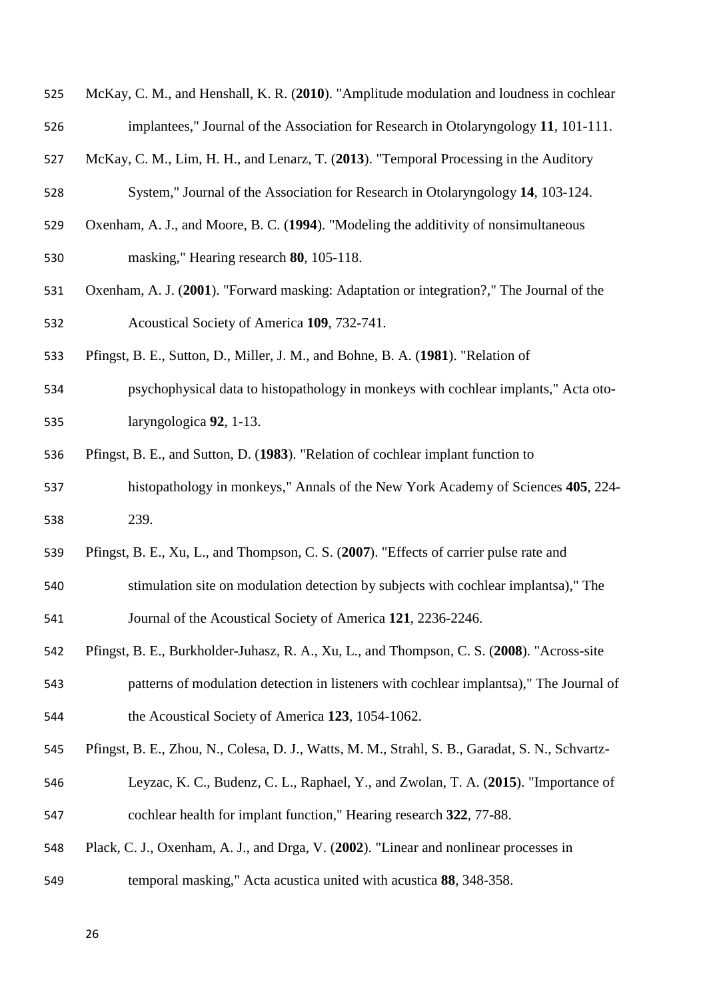<span id="page-26-6"></span>

| 525 | McKay, C. M., and Henshall, K. R. (2010). "Amplitude modulation and loudness in cochlear |
|-----|------------------------------------------------------------------------------------------|
| 526 | implantees," Journal of the Association for Research in Otolaryngology 11, 101-111.      |

<span id="page-26-2"></span>McKay, C. M., Lim, H. H., and Lenarz, T. (**2013**). "Temporal Processing in the Auditory

System," Journal of the Association for Research in Otolaryngology **14**, 103-124.

- <span id="page-26-3"></span> Oxenham, A. J., and Moore, B. C. (**1994**). "Modeling the additivity of nonsimultaneous masking," Hearing research **80**, 105-118.
- <span id="page-26-4"></span> Oxenham, A. J. (**2001**). "Forward masking: Adaptation or integration?," The Journal of the Acoustical Society of America **109**, 732-741.
- <span id="page-26-7"></span>Pfingst, B. E., Sutton, D., Miller, J. M., and Bohne, B. A. (**1981**). "Relation of
- psychophysical data to histopathology in monkeys with cochlear implants," Acta oto-laryngologica **92**, 1-13.
- <span id="page-26-8"></span>Pfingst, B. E., and Sutton, D. (**1983**). "Relation of cochlear implant function to
- histopathology in monkeys," Annals of the New York Academy of Sciences **405**, 224- 239.
- <span id="page-26-0"></span>Pfingst, B. E., Xu, L., and Thompson, C. S. (**2007**). "Effects of carrier pulse rate and
- stimulation site on modulation detection by subjects with cochlear implantsa)," The Journal of the Acoustical Society of America **121**, 2236-2246.
- <span id="page-26-1"></span> Pfingst, B. E., Burkholder-Juhasz, R. A., Xu, L., and Thompson, C. S. (**2008**). "Across-site patterns of modulation detection in listeners with cochlear implantsa)," The Journal of

the Acoustical Society of America **123**, 1054-1062.

- <span id="page-26-9"></span>Pfingst, B. E., Zhou, N., Colesa, D. J., Watts, M. M., Strahl, S. B., Garadat, S. N., Schvartz-
- Leyzac, K. C., Budenz, C. L., Raphael, Y., and Zwolan, T. A. (**2015**). "Importance of cochlear health for implant function," Hearing research **322**, 77-88.
- <span id="page-26-5"></span> Plack, C. J., Oxenham, A. J., and Drga, V. (**2002**). "Linear and nonlinear processes in temporal masking," Acta acustica united with acustica **88**, 348-358.